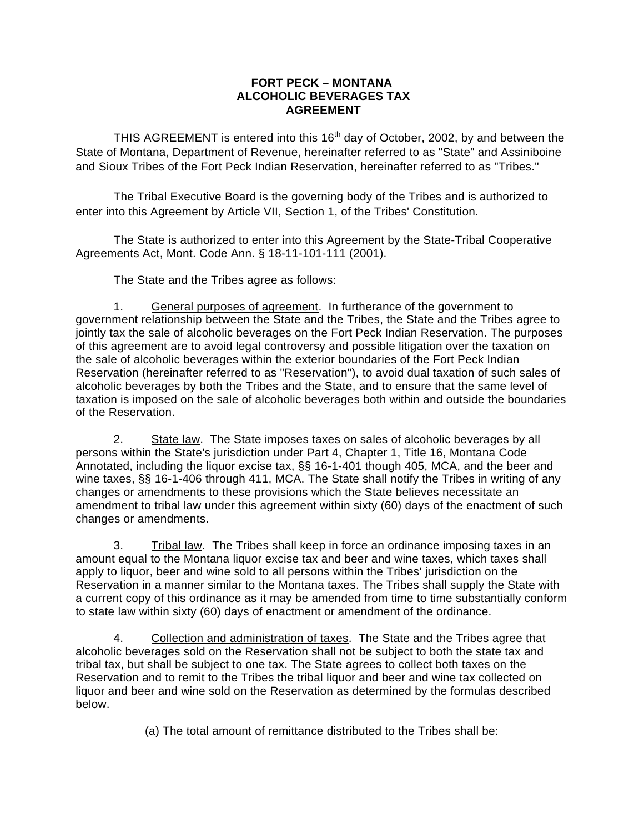## **FORT PECK – MONTANA ALCOHOLIC BEVERAGES TAX AGREEMENT**

THIS AGREEMENT is entered into this  $16<sup>th</sup>$  day of October, 2002, by and between the State of Montana, Department of Revenue, hereinafter referred to as "State" and Assiniboine and Sioux Tribes of the Fort Peck Indian Reservation, hereinafter referred to as "Tribes."

 The Tribal Executive Board is the governing body of the Tribes and is authorized to enter into this Agreement by Article VII, Section 1, of the Tribes' Constitution.

 The State is authorized to enter into this Agreement by the State-Tribal Cooperative Agreements Act, Mont. Code Ann. § 18-11-101-111 (2001).

The State and the Tribes agree as follows:

1. General purposes of agreement. In furtherance of the government to government relationship between the State and the Tribes, the State and the Tribes agree to jointly tax the sale of alcoholic beverages on the Fort Peck Indian Reservation. The purposes of this agreement are to avoid legal controversy and possible litigation over the taxation on the sale of alcoholic beverages within the exterior boundaries of the Fort Peck Indian Reservation (hereinafter referred to as "Reservation"), to avoid dual taxation of such sales of alcoholic beverages by both the Tribes and the State, and to ensure that the same level of taxation is imposed on the sale of alcoholic beverages both within and outside the boundaries of the Reservation.

2. State law. The State imposes taxes on sales of alcoholic beverages by all persons within the State's jurisdiction under Part 4, Chapter 1, Title 16, Montana Code Annotated, including the liquor excise tax, §§ 16-1-401 though 405, MCA, and the beer and wine taxes, §§ 16-1-406 through 411, MCA. The State shall notify the Tribes in writing of any changes or amendments to these provisions which the State believes necessitate an amendment to tribal law under this agreement within sixty (60) days of the enactment of such changes or amendments.

3. Tribal law. The Tribes shall keep in force an ordinance imposing taxes in an amount equal to the Montana liquor excise tax and beer and wine taxes, which taxes shall apply to liquor, beer and wine sold to all persons within the Tribes' jurisdiction on the Reservation in a manner similar to the Montana taxes. The Tribes shall supply the State with a current copy of this ordinance as it may be amended from time to time substantially conform to state law within sixty (60) days of enactment or amendment of the ordinance.

 4. Collection and administration of taxes. The State and the Tribes agree that alcoholic beverages sold on the Reservation shall not be subject to both the state tax and tribal tax, but shall be subject to one tax. The State agrees to collect both taxes on the Reservation and to remit to the Tribes the tribal liquor and beer and wine tax collected on liquor and beer and wine sold on the Reservation as determined by the formulas described below.

(a) The total amount of remittance distributed to the Tribes shall be: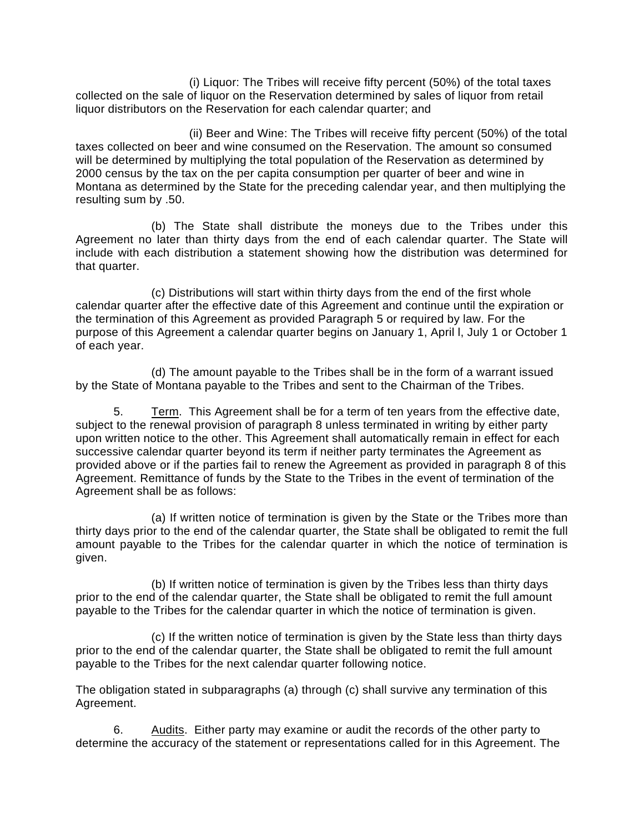(i) Liquor: The Tribes will receive fifty percent (50%) of the total taxes collected on the sale of liquor on the Reservation determined by sales of liquor from retail liquor distributors on the Reservation for each calendar quarter; and

(ii) Beer and Wine: The Tribes will receive fifty percent (50%) of the total taxes collected on beer and wine consumed on the Reservation. The amount so consumed will be determined by multiplying the total population of the Reservation as determined by 2000 census by the tax on the per capita consumption per quarter of beer and wine in Montana as determined by the State for the preceding calendar year, and then multiplying the resulting sum by .50.

(b) The State shall distribute the moneys due to the Tribes under this Agreement no later than thirty days from the end of each calendar quarter. The State will include with each distribution a statement showing how the distribution was determined for that quarter.

(c) Distributions will start within thirty days from the end of the first whole calendar quarter after the effective date of this Agreement and continue until the expiration or the termination of this Agreement as provided Paragraph 5 or required by law. For the purpose of this Agreement a calendar quarter begins on January 1, April l, July 1 or October 1 of each year.

(d) The amount payable to the Tribes shall be in the form of a warrant issued by the State of Montana payable to the Tribes and sent to the Chairman of the Tribes.

 5. Term. This Agreement shall be for a term of ten years from the effective date, subject to the renewal provision of paragraph 8 unless terminated in writing by either party upon written notice to the other. This Agreement shall automatically remain in effect for each successive calendar quarter beyond its term if neither party terminates the Agreement as provided above or if the parties fail to renew the Agreement as provided in paragraph 8 of this Agreement. Remittance of funds by the State to the Tribes in the event of termination of the Agreement shall be as follows:

(a) If written notice of termination is given by the State or the Tribes more than thirty days prior to the end of the calendar quarter, the State shall be obligated to remit the full amount payable to the Tribes for the calendar quarter in which the notice of termination is given.

(b) If written notice of termination is given by the Tribes less than thirty days prior to the end of the calendar quarter, the State shall be obligated to remit the full amount payable to the Tribes for the calendar quarter in which the notice of termination is given.

(c) If the written notice of termination is given by the State less than thirty days prior to the end of the calendar quarter, the State shall be obligated to remit the full amount payable to the Tribes for the next calendar quarter following notice.

The obligation stated in subparagraphs (a) through (c) shall survive any termination of this Agreement.

 6. Audits. Either party may examine or audit the records of the other party to determine the accuracy of the statement or representations called for in this Agreement. The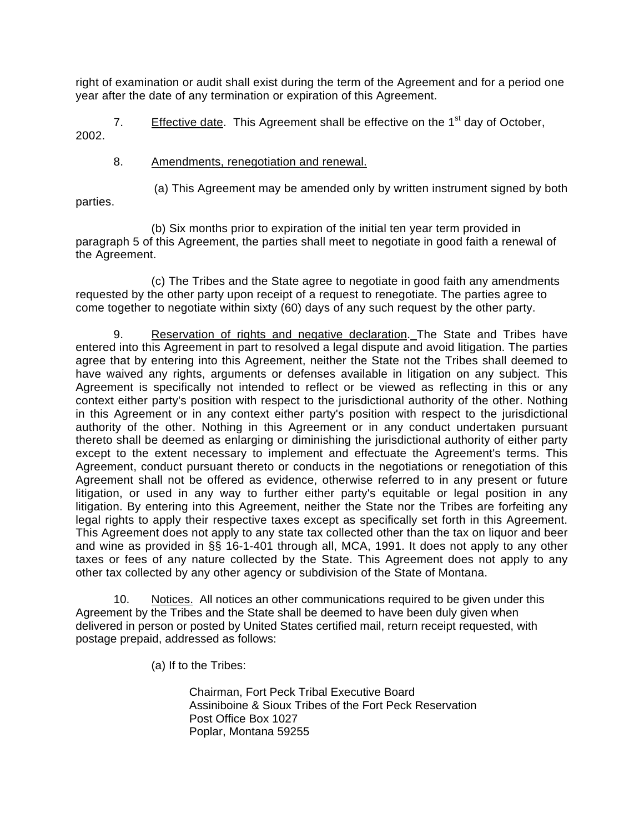right of examination or audit shall exist during the term of the Agreement and for a period one year after the date of any termination or expiration of this Agreement.

7. Effective date. This Agreement shall be effective on the  $1<sup>st</sup>$  day of October, 2002.

## 8. Amendments, renegotiation and renewal.

(a) This Agreement may be amended only by written instrument signed by both

parties.

(b) Six months prior to expiration of the initial ten year term provided in paragraph 5 of this Agreement, the parties shall meet to negotiate in good faith a renewal of the Agreement.

(c) The Tribes and the State agree to negotiate in good faith any amendments requested by the other party upon receipt of a request to renegotiate. The parties agree to come together to negotiate within sixty (60) days of any such request by the other party.

9. Reservation of rights and negative declaration. The State and Tribes have entered into this Agreement in part to resolved a legal dispute and avoid litigation. The parties agree that by entering into this Agreement, neither the State not the Tribes shall deemed to have waived any rights, arguments or defenses available in litigation on any subject. This Agreement is specifically not intended to reflect or be viewed as reflecting in this or any context either party's position with respect to the jurisdictional authority of the other. Nothing in this Agreement or in any context either party's position with respect to the jurisdictional authority of the other. Nothing in this Agreement or in any conduct undertaken pursuant thereto shall be deemed as enlarging or diminishing the jurisdictional authority of either party except to the extent necessary to implement and effectuate the Agreement's terms. This Agreement, conduct pursuant thereto or conducts in the negotiations or renegotiation of this Agreement shall not be offered as evidence, otherwise referred to in any present or future litigation, or used in any way to further either party's equitable or legal position in any litigation. By entering into this Agreement, neither the State nor the Tribes are forfeiting any legal rights to apply their respective taxes except as specifically set forth in this Agreement. This Agreement does not apply to any state tax collected other than the tax on liquor and beer and wine as provided in §§ 16-1-401 through all, MCA, 1991. It does not apply to any other taxes or fees of any nature collected by the State. This Agreement does not apply to any other tax collected by any other agency or subdivision of the State of Montana.

 10. Notices. All notices an other communications required to be given under this Agreement by the Tribes and the State shall be deemed to have been duly given when delivered in person or posted by United States certified mail, return receipt requested, with postage prepaid, addressed as follows:

(a) If to the Tribes:

 Chairman, Fort Peck Tribal Executive Board Assiniboine & Sioux Tribes of the Fort Peck Reservation Post Office Box 1027 Poplar, Montana 59255